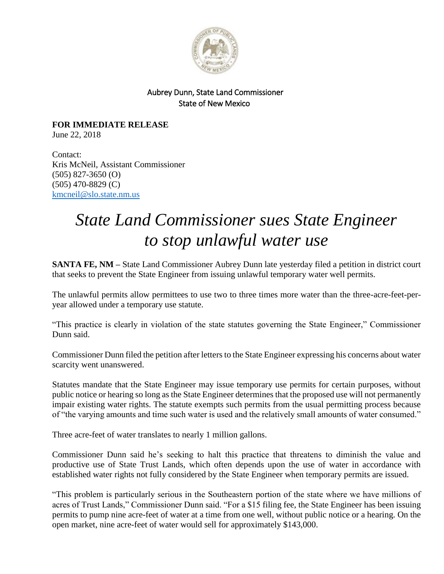

## Aubrey Dunn, State Land Commissioner State of New Mexico

**FOR IMMEDIATE RELEASE** June 22, 2018

Contact: Kris McNeil, Assistant Commissioner (505) 827-3650 (O) (505) 470-8829 (C) [kmcneil@slo.state.nm.us](mailto:kmcneil@slo.state.nm.us)

## *State Land Commissioner sues State Engineer to stop unlawful water use*

**SANTA FE, NM –** State Land Commissioner Aubrey Dunn late yesterday filed a petition in district court that seeks to prevent the State Engineer from issuing unlawful temporary water well permits.

The unlawful permits allow permittees to use two to three times more water than the three-acre-feet-peryear allowed under a temporary use statute.

"This practice is clearly in violation of the state statutes governing the State Engineer," Commissioner Dunn said.

Commissioner Dunn filed the petition after letters to the State Engineer expressing his concerns about water scarcity went unanswered.

Statutes mandate that the State Engineer may issue temporary use permits for certain purposes, without public notice or hearing so long as the State Engineer determines that the proposed use will not permanently impair existing water rights. The statute exempts such permits from the usual permitting process because of "the varying amounts and time such water is used and the relatively small amounts of water consumed."

Three acre-feet of water translates to nearly 1 million gallons.

Commissioner Dunn said he's seeking to halt this practice that threatens to diminish the value and productive use of State Trust Lands, which often depends upon the use of water in accordance with established water rights not fully considered by the State Engineer when temporary permits are issued.

"This problem is particularly serious in the Southeastern portion of the state where we have millions of acres of Trust Lands," Commissioner Dunn said. "For a \$15 filing fee, the State Engineer has been issuing permits to pump nine acre-feet of water at a time from one well, without public notice or a hearing. On the open market, nine acre-feet of water would sell for approximately \$143,000.